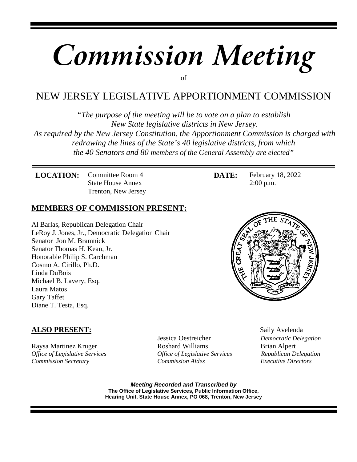# *Commission Meeting* of

# NEW JERSEY LEGISLATIVE APPORTIONMENT COMMISSION

*"The purpose of the meeting will be to vote on a plan to establish New State legislative districts in New Jersey. As required by the New Jersey Constitution, the Apportionment Commission is charged with redrawing the lines of the State's 40 legislative districts, from which the 40 Senators and 80 members of the General Assembly are elected"*

**LOCATION:** Committee Room 4 State House Annex Trenton, New Jersey

### **MEMBERS OF COMMISSION PRESENT:**

Al Barlas, Republican Delegation Chair LeRoy J. Jones, Jr., Democratic Delegation Chair Senator Jon M. Bramnick Senator Thomas H. Kean, Jr. Honorable Philip S. Carchman Cosmo A. Cirillo, Ph.D. Linda DuBois Michael B. Lavery, Esq. Laura Matos Gary Taffet Diane T. Testa, Esq.

#### **DATE:** February 18, 2022 2:00 p.m.



## **ALSO PRESENT:** Saily Avelenda

Raysa Martinez Kruger Roshard Williams Brian Alpert *Office of Legislative Services Office of Legislative Services Republican Delegation Commission Secretary Commission Aides Executive Directors*

Jessica Oestreicher *Democratic Delegation*

*Meeting Recorded and Transcribed by* **The Office of Legislative Services, Public Information Office, Hearing Unit, State House Annex, PO 068, Trenton, New Jersey**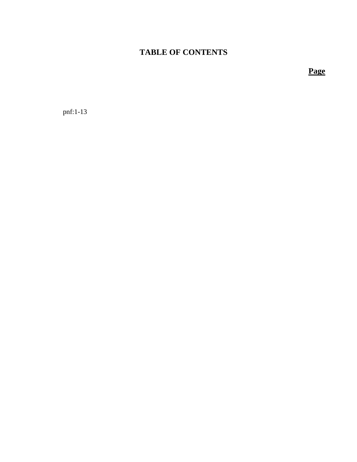# **TABLE OF CONTENTS**

**Page**

pnf:1-13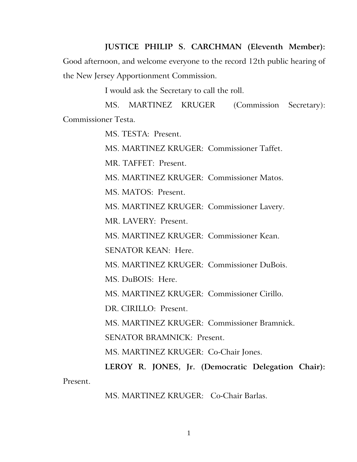**JUSTICE PHILIP S. CARCHMAN (Eleventh Member):**

Good afternoon, and welcome everyone to the record 12th public hearing of the New Jersey Apportionment Commission.

I would ask the Secretary to call the roll.

MS. MARTINEZ KRUGER (Commission Secretary): Commissioner Testa.

MS. TESTA: Present.

MS. MARTINEZ KRUGER: Commissioner Taffet.

MR. TAFFET: Present.

MS. MARTINEZ KRUGER: Commissioner Matos.

MS. MATOS: Present.

MS. MARTINEZ KRUGER: Commissioner Lavery.

MR. LAVERY: Present.

MS. MARTINEZ KRUGER: Commissioner Kean.

SENATOR KEAN: Here.

MS. MARTINEZ KRUGER: Commissioner DuBois.

MS. DuBOIS: Here.

MS. MARTINEZ KRUGER: Commissioner Cirillo.

DR. CIRILLO: Present.

MS. MARTINEZ KRUGER: Commissioner Bramnick.

SENATOR BRAMNICK: Present.

MS. MARTINEZ KRUGER: Co-Chair Jones.

**LEROY R. JONES, Jr. (Democratic Delegation Chair):**  Present.

MS. MARTINEZ KRUGER:Co-Chair Barlas.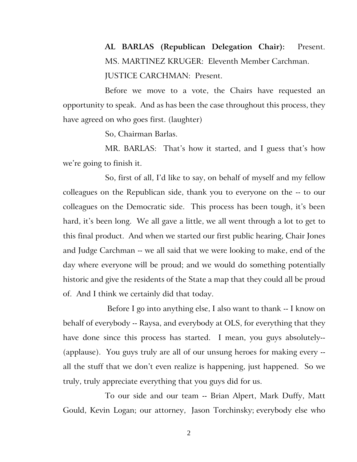**AL BARLAS (Republican Delegation Chair):** Present. MS. MARTINEZ KRUGER: Eleventh Member Carchman. JUSTICE CARCHMAN: Present.

Before we move to a vote, the Chairs have requested an opportunity to speak. And as has been the case throughout this process, they have agreed on who goes first. (laughter)

So, Chairman Barlas.

MR. BARLAS: That's how it started, and I guess that's how we're going to finish it.

So, first of all, I'd like to say, on behalf of myself and my fellow colleagues on the Republican side, thank you to everyone on the -- to our colleagues on the Democratic side. This process has been tough, it's been hard, it's been long. We all gave a little, we all went through a lot to get to this final product. And when we started our first public hearing, Chair Jones and Judge Carchman -- we all said that we were looking to make, end of the day where everyone will be proud; and we would do something potentially historic and give the residents of the State a map that they could all be proud of. And I think we certainly did that today.

Before I go into anything else, I also want to thank -- I know on behalf of everybody -- Raysa, and everybody at OLS, for everything that they have done since this process has started. I mean, you guys absolutely-- (applause). You guys truly are all of our unsung heroes for making every - all the stuff that we don't even realize is happening, just happened. So we truly, truly appreciate everything that you guys did for us.

To our side and our team -- Brian Alpert, Mark Duffy, Matt Gould, Kevin Logan; our attorney, Jason Torchinsky; everybody else who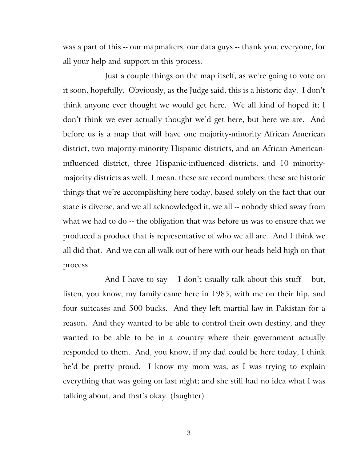was a part of this -- our mapmakers, our data guys -- thank you, everyone, for all your help and support in this process.

Just a couple things on the map itself, as we're going to vote on it soon, hopefully. Obviously, as the Judge said, this is a historic day. I don't think anyone ever thought we would get here. We all kind of hoped it; I don't think we ever actually thought we'd get here, but here we are. And before us is a map that will have one majority-minority African American district, two majority-minority Hispanic districts, and an African Americaninfluenced district, three Hispanic-influenced districts, and 10 minoritymajority districts as well. I mean, these are record numbers; these are historic things that we're accomplishing here today, based solely on the fact that our state is diverse, and we all acknowledged it, we all -- nobody shied away from what we had to do -- the obligation that was before us was to ensure that we produced a product that is representative of who we all are. And I think we all did that. And we can all walk out of here with our heads held high on that process.

And I have to say -- I don't usually talk about this stuff -- but, listen, you know, my family came here in 1985, with me on their hip, and four suitcases and 500 bucks. And they left martial law in Pakistan for a reason. And they wanted to be able to control their own destiny, and they wanted to be able to be in a country where their government actually responded to them. And, you know, if my dad could be here today, I think he'd be pretty proud. I know my mom was, as I was trying to explain everything that was going on last night; and she still had no idea what I was talking about, and that's okay. (laughter)

3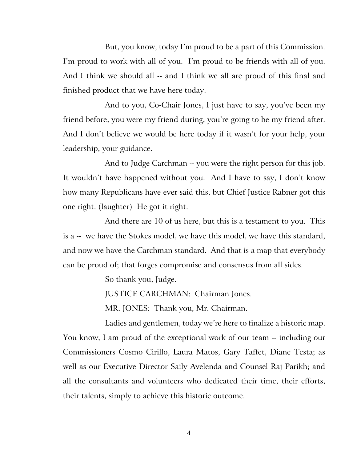But, you know, today I'm proud to be a part of this Commission. I'm proud to work with all of you. I'm proud to be friends with all of you. And I think we should all -- and I think we all are proud of this final and finished product that we have here today.

And to you, Co-Chair Jones, I just have to say, you've been my friend before, you were my friend during, you're going to be my friend after. And I don't believe we would be here today if it wasn't for your help, your leadership, your guidance.

And to Judge Carchman -- you were the right person for this job. It wouldn't have happened without you. And I have to say, I don't know how many Republicans have ever said this, but Chief Justice Rabner got this one right. (laughter) He got it right.

And there are 10 of us here, but this is a testament to you. This is a -- we have the Stokes model, we have this model, we have this standard, and now we have the Carchman standard. And that is a map that everybody can be proud of; that forges compromise and consensus from all sides.

So thank you, Judge.

JUSTICE CARCHMAN: Chairman Jones.

MR. JONES: Thank you, Mr. Chairman.

Ladies and gentlemen, today we're here to finalize a historic map. You know, I am proud of the exceptional work of our team -- including our Commissioners Cosmo Cirillo, Laura Matos, Gary Taffet, Diane Testa; as well as our Executive Director Saily Avelenda and Counsel Raj Parikh; and all the consultants and volunteers who dedicated their time, their efforts, their talents, simply to achieve this historic outcome.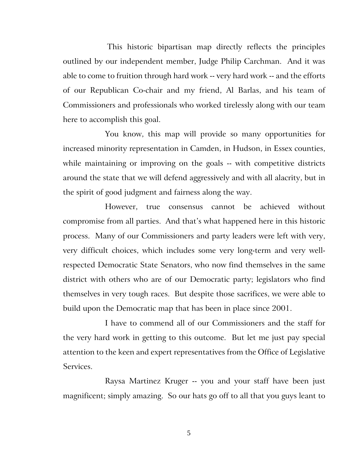This historic bipartisan map directly reflects the principles outlined by our independent member, Judge Philip Carchman. And it was able to come to fruition through hard work -- very hard work -- and the efforts of our Republican Co-chair and my friend, Al Barlas, and his team of Commissioners and professionals who worked tirelessly along with our team here to accomplish this goal.

You know, this map will provide so many opportunities for increased minority representation in Camden, in Hudson, in Essex counties, while maintaining or improving on the goals -- with competitive districts around the state that we will defend aggressively and with all alacrity, but in the spirit of good judgment and fairness along the way.

However, true consensus cannot be achieved without compromise from all parties. And that's what happened here in this historic process. Many of our Commissioners and party leaders were left with very, very difficult choices, which includes some very long-term and very wellrespected Democratic State Senators, who now find themselves in the same district with others who are of our Democratic party; legislators who find themselves in very tough races. But despite those sacrifices, we were able to build upon the Democratic map that has been in place since 2001.

I have to commend all of our Commissioners and the staff for the very hard work in getting to this outcome. But let me just pay special attention to the keen and expert representatives from the Office of Legislative Services.

Raysa Martinez Kruger -- you and your staff have been just magnificent; simply amazing. So our hats go off to all that you guys leant to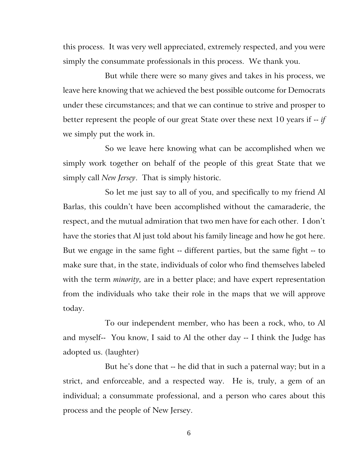this process. It was very well appreciated, extremely respected, and you were simply the consummate professionals in this process. We thank you.

But while there were so many gives and takes in his process, we leave here knowing that we achieved the best possible outcome for Democrats under these circumstances; and that we can continue to strive and prosper to better represent the people of our great State over these next 10 years if -- *if* we simply put the work in.

So we leave here knowing what can be accomplished when we simply work together on behalf of the people of this great State that we simply call *New Jersey*. That is simply historic.

So let me just say to all of you, and specifically to my friend Al Barlas, this couldn't have been accomplished without the camaraderie, the respect, and the mutual admiration that two men have for each other. I don't have the stories that Al just told about his family lineage and how he got here. But we engage in the same fight -- different parties, but the same fight -- to make sure that, in the state, individuals of color who find themselves labeled with the term *minority,* are in a better place; and have expert representation from the individuals who take their role in the maps that we will approve today.

To our independent member, who has been a rock, who, to Al and myself-- You know, I said to Al the other day -- I think the Judge has adopted us. (laughter)

But he's done that -- he did that in such a paternal way; but in a strict, and enforceable, and a respected way. He is, truly, a gem of an individual; a consummate professional, and a person who cares about this process and the people of New Jersey.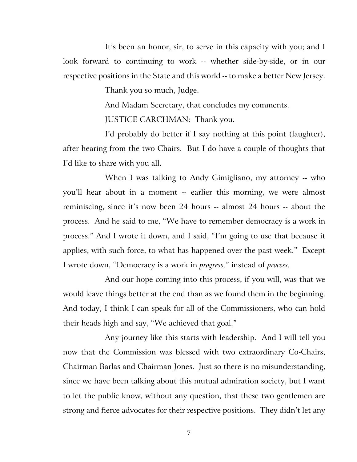It's been an honor, sir, to serve in this capacity with you; and I look forward to continuing to work -- whether side-by-side, or in our respective positions in the State and this world -- to make a better New Jersey.

Thank you so much, Judge.

And Madam Secretary, that concludes my comments.

JUSTICE CARCHMAN: Thank you.

I'd probably do better if I say nothing at this point (laughter), after hearing from the two Chairs. But I do have a couple of thoughts that I'd like to share with you all.

When I was talking to Andy Gimigliano, my attorney -- who you'll hear about in a moment -- earlier this morning, we were almost reminiscing, since it's now been 24 hours -- almost 24 hours -- about the process. And he said to me, "We have to remember democracy is a work in process." And I wrote it down, and I said, "I'm going to use that because it applies, with such force, to what has happened over the past week." Except I wrote down, "Democracy is a work in *progress,*" instead of *process.*

And our hope coming into this process, if you will, was that we would leave things better at the end than as we found them in the beginning. And today, I think I can speak for all of the Commissioners, who can hold their heads high and say, "We achieved that goal."

Any journey like this starts with leadership. And I will tell you now that the Commission was blessed with two extraordinary Co-Chairs, Chairman Barlas and Chairman Jones. Just so there is no misunderstanding, since we have been talking about this mutual admiration society, but I want to let the public know, without any question, that these two gentlemen are strong and fierce advocates for their respective positions. They didn't let any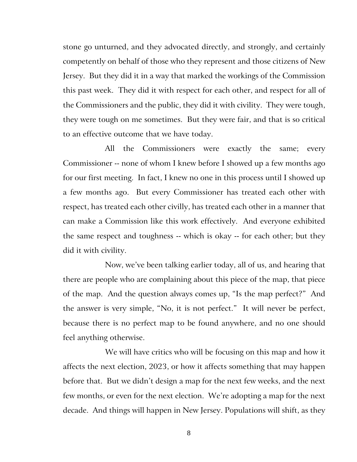stone go unturned, and they advocated directly, and strongly, and certainly competently on behalf of those who they represent and those citizens of New Jersey. But they did it in a way that marked the workings of the Commission this past week. They did it with respect for each other, and respect for all of the Commissioners and the public, they did it with civility. They were tough, they were tough on me sometimes. But they were fair, and that is so critical to an effective outcome that we have today.

All the Commissioners were exactly the same; every Commissioner -- none of whom I knew before I showed up a few months ago for our first meeting. In fact, I knew no one in this process until I showed up a few months ago. But every Commissioner has treated each other with respect, has treated each other civilly, has treated each other in a manner that can make a Commission like this work effectively. And everyone exhibited the same respect and toughness -- which is okay -- for each other; but they did it with civility.

Now, we've been talking earlier today, all of us, and hearing that there are people who are complaining about this piece of the map, that piece of the map. And the question always comes up, "Is the map perfect?" And the answer is very simple, "No, it is not perfect." It will never be perfect, because there is no perfect map to be found anywhere, and no one should feel anything otherwise.

We will have critics who will be focusing on this map and how it affects the next election, 2023, or how it affects something that may happen before that. But we didn't design a map for the next few weeks, and the next few months, or even for the next election. We're adopting a map for the next decade. And things will happen in New Jersey. Populations will shift, as they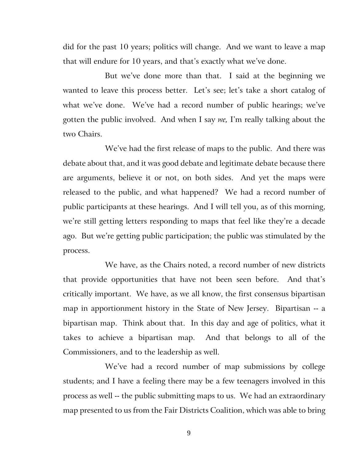did for the past 10 years; politics will change. And we want to leave a map that will endure for 10 years, and that's exactly what we've done.

But we've done more than that. I said at the beginning we wanted to leave this process better. Let's see; let's take a short catalog of what we've done. We've had a record number of public hearings; we've gotten the public involved. And when I say *we,* I'm really talking about the two Chairs.

We've had the first release of maps to the public. And there was debate about that, and it was good debate and legitimate debate because there are arguments, believe it or not, on both sides. And yet the maps were released to the public, and what happened? We had a record number of public participants at these hearings. And I will tell you, as of this morning, we're still getting letters responding to maps that feel like they're a decade ago. But we're getting public participation; the public was stimulated by the process.

We have, as the Chairs noted, a record number of new districts that provide opportunities that have not been seen before. And that's critically important. We have, as we all know, the first consensus bipartisan map in apportionment history in the State of New Jersey. Bipartisan -- a bipartisan map. Think about that. In this day and age of politics, what it takes to achieve a bipartisan map. And that belongs to all of the Commissioners, and to the leadership as well.

We've had a record number of map submissions by college students; and I have a feeling there may be a few teenagers involved in this process as well -- the public submitting maps to us. We had an extraordinary map presented to us from the Fair Districts Coalition, which was able to bring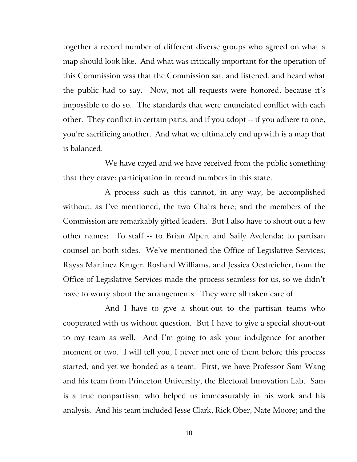together a record number of different diverse groups who agreed on what a map should look like. And what was critically important for the operation of this Commission was that the Commission sat, and listened, and heard what the public had to say. Now, not all requests were honored, because it's impossible to do so. The standards that were enunciated conflict with each other. They conflict in certain parts, and if you adopt -- if you adhere to one, you're sacrificing another. And what we ultimately end up with is a map that is balanced.

We have urged and we have received from the public something that they crave: participation in record numbers in this state.

A process such as this cannot, in any way, be accomplished without, as I've mentioned, the two Chairs here; and the members of the Commission are remarkably gifted leaders. But I also have to shout out a few other names: To staff -- to Brian Alpert and Saily Avelenda; to partisan counsel on both sides. We've mentioned the Office of Legislative Services; Raysa Martinez Kruger, Roshard Williams, and Jessica Oestreicher, from the Office of Legislative Services made the process seamless for us, so we didn't have to worry about the arrangements. They were all taken care of.

And I have to give a shout-out to the partisan teams who cooperated with us without question. But I have to give a special shout-out to my team as well. And I'm going to ask your indulgence for another moment or two. I will tell you, I never met one of them before this process started, and yet we bonded as a team. First, we have Professor Sam Wang and his team from Princeton University, the Electoral Innovation Lab. Sam is a true nonpartisan, who helped us immeasurably in his work and his analysis. And his team included Jesse Clark, Rick Ober, Nate Moore; and the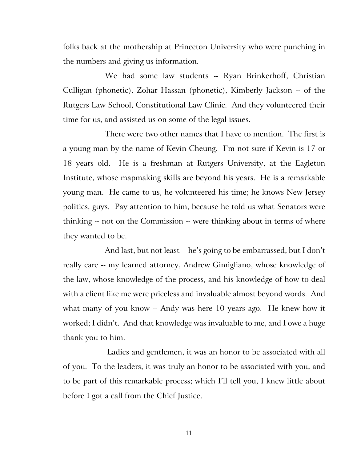folks back at the mothership at Princeton University who were punching in the numbers and giving us information.

We had some law students -- Ryan Brinkerhoff, Christian Culligan (phonetic), Zohar Hassan (phonetic), Kimberly Jackson -- of the Rutgers Law School, Constitutional Law Clinic. And they volunteered their time for us, and assisted us on some of the legal issues.

There were two other names that I have to mention. The first is a young man by the name of Kevin Cheung. I'm not sure if Kevin is 17 or 18 years old. He is a freshman at Rutgers University, at the Eagleton Institute, whose mapmaking skills are beyond his years. He is a remarkable young man. He came to us, he volunteered his time; he knows New Jersey politics, guys. Pay attention to him, because he told us what Senators were thinking -- not on the Commission -- were thinking about in terms of where they wanted to be.

And last, but not least -- he's going to be embarrassed, but I don't really care -- my learned attorney, Andrew Gimigliano, whose knowledge of the law, whose knowledge of the process, and his knowledge of how to deal with a client like me were priceless and invaluable almost beyond words. And what many of you know -- Andy was here 10 years ago. He knew how it worked; I didn't. And that knowledge was invaluable to me, and I owe a huge thank you to him.

Ladies and gentlemen, it was an honor to be associated with all of you. To the leaders, it was truly an honor to be associated with you, and to be part of this remarkable process; which I'll tell you, I knew little about before I got a call from the Chief Justice.

11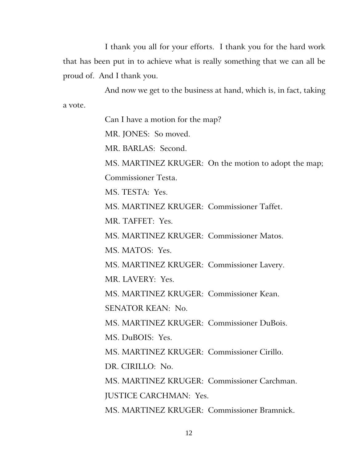I thank you all for your efforts. I thank you for the hard work that has been put in to achieve what is really something that we can all be proud of. And I thank you.

And now we get to the business at hand, which is, in fact, taking a vote.

Can I have a motion for the map?

MR. JONES: So moved.

MR. BARLAS: Second.

MS. MARTINEZ KRUGER: On the motion to adopt the map;

Commissioner Testa.

MS. TESTA: Yes.

MS. MARTINEZ KRUGER: Commissioner Taffet.

MR. TAFFET: Yes.

MS. MARTINEZ KRUGER: Commissioner Matos.

MS. MATOS: Yes.

MS. MARTINEZ KRUGER: Commissioner Lavery.

MR. LAVERY: Yes.

MS. MARTINEZ KRUGER: Commissioner Kean.

SENATOR KEAN: No.

MS. MARTINEZ KRUGER: Commissioner DuBois.

MS. DuBOIS: Yes.

MS. MARTINEZ KRUGER: Commissioner Cirillo.

DR. CIRILLO: No.

MS. MARTINEZ KRUGER: Commissioner Carchman. JUSTICE CARCHMAN: Yes.

MS. MARTINEZ KRUGER: Commissioner Bramnick.